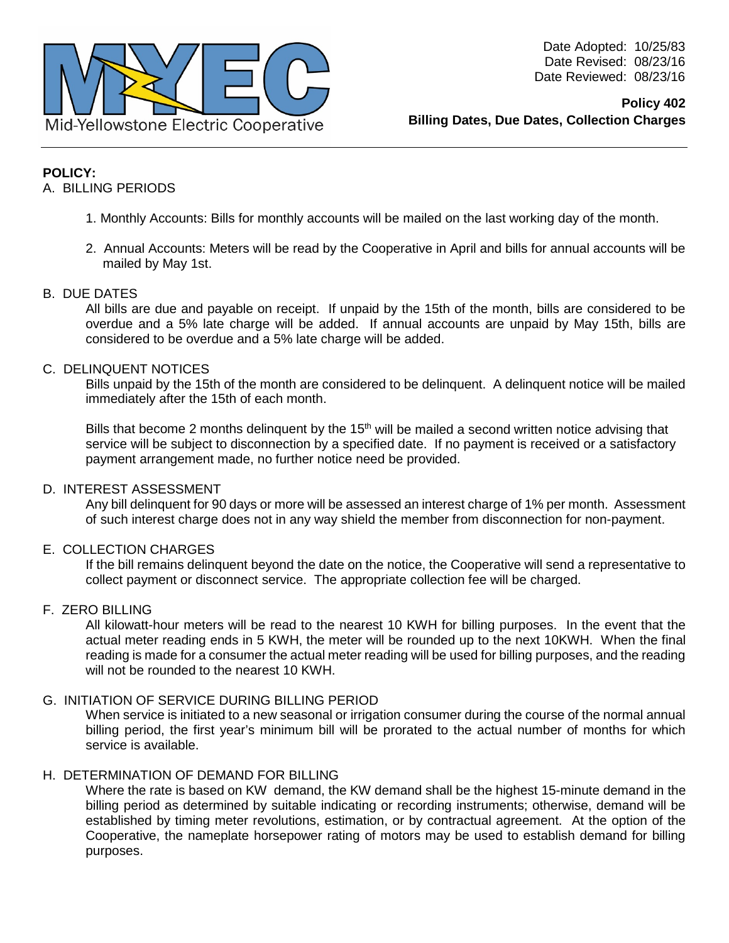

# **POLICY:**

# A. BILLING PERIODS

- 1. Monthly Accounts: Bills for monthly accounts will be mailed on the last working day of the month.
- 2. Annual Accounts: Meters will be read by the Cooperative in April and bills for annual accounts will be mailed by May 1st.

## B. DUE DATES

All bills are due and payable on receipt. If unpaid by the 15th of the month, bills are considered to be overdue and a 5% late charge will be added. If annual accounts are unpaid by May 15th, bills are considered to be overdue and a 5% late charge will be added.

## C. DELINQUENT NOTICES

Bills unpaid by the 15th of the month are considered to be delinquent. A delinquent notice will be mailed immediately after the 15th of each month.

Bills that become 2 months delinquent by the  $15<sup>th</sup>$  will be mailed a second written notice advising that service will be subject to disconnection by a specified date. If no payment is received or a satisfactory payment arrangement made, no further notice need be provided.

## D. INTEREST ASSESSMENT

Any bill delinquent for 90 days or more will be assessed an interest charge of 1% per month. Assessment of such interest charge does not in any way shield the member from disconnection for non-payment.

## E. COLLECTION CHARGES

If the bill remains delinquent beyond the date on the notice, the Cooperative will send a representative to collect payment or disconnect service. The appropriate collection fee will be charged.

# F. ZERO BILLING

All kilowatt-hour meters will be read to the nearest 10 KWH for billing purposes. In the event that the actual meter reading ends in 5 KWH, the meter will be rounded up to the next 10KWH. When the final reading is made for a consumer the actual meter reading will be used for billing purposes, and the reading will not be rounded to the nearest 10 KWH.

## G. INITIATION OF SERVICE DURING BILLING PERIOD

When service is initiated to a new seasonal or irrigation consumer during the course of the normal annual billing period, the first year's minimum bill will be prorated to the actual number of months for which service is available.

# H. DETERMINATION OF DEMAND FOR BILLING

Where the rate is based on KW demand, the KW demand shall be the highest 15-minute demand in the billing period as determined by suitable indicating or recording instruments; otherwise, demand will be established by timing meter revolutions, estimation, or by contractual agreement. At the option of the Cooperative, the nameplate horsepower rating of motors may be used to establish demand for billing purposes.